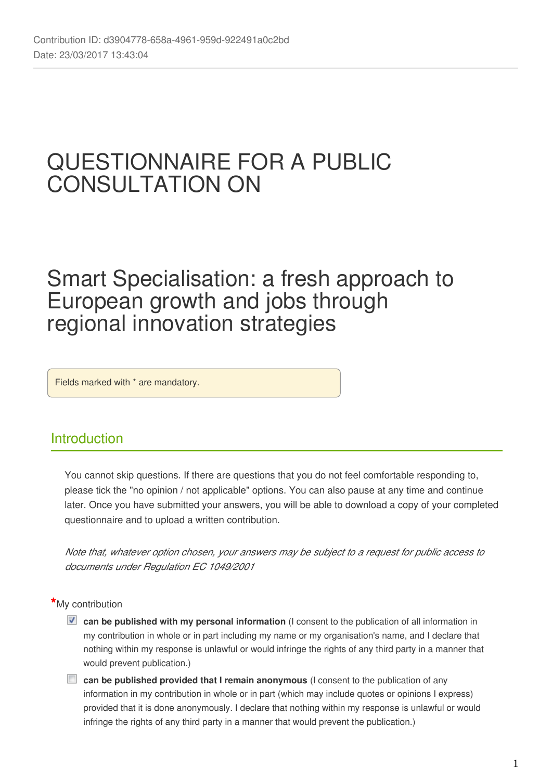# QUESTIONNAIRE FOR A PUBLIC CONSULTATION ON

# Smart Specialisation: a fresh approach to European growth and jobs through regional innovation strategies

Fields marked with \* are mandatory.

# **Introduction**

You cannot skip questions. If there are questions that you do not feel comfortable responding to, please tick the "no opinion / not applicable" options. You can also pause at any time and continue later. Once you have submitted your answers, you will be able to download a copy of your completed questionnaire and to upload a written contribution.

*Note that, whatever option chosen, your answers may be subject to a request for public access to documents under Regulation EC 1049/2001*

### **\***My contribution

- **z** can be published with my personal information (I consent to the publication of all information in my contribution in whole or in part including my name or my organisation's name, and I declare that nothing within my response is unlawful or would infringe the rights of any third party in a manner that would prevent publication.)
- **can be published provided that I remain anonymous** (I consent to the publication of any information in my contribution in whole or in part (which may include quotes or opinions I express) provided that it is done anonymously. I declare that nothing within my response is unlawful or would infringe the rights of any third party in a manner that would prevent the publication.)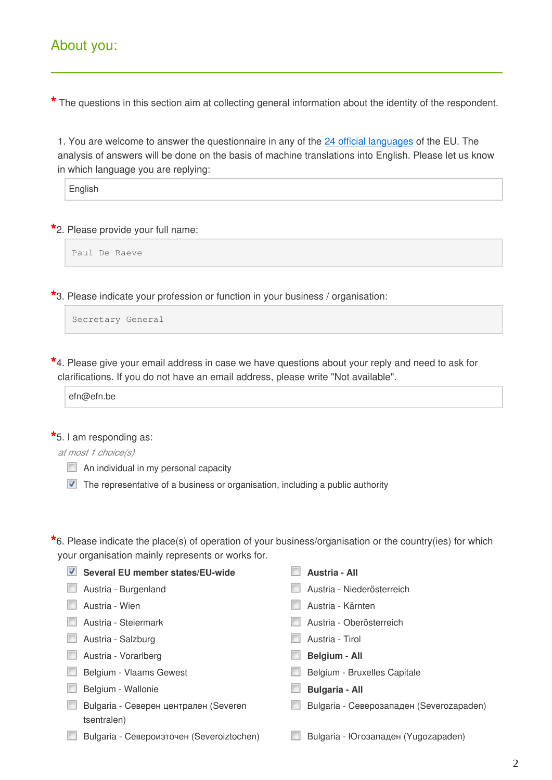# About you:

**\*** The questions in this section aim at collecting general information about the identity of the respondent.

1. You are welcome to answer the questionnaire in any of the [24 official languages](http://ec.europa.eu/dgs/translation/translating/officiallanguages/index_en.htm) of the EU. The analysis of answers will be done on the basis of machine translations into English. Please let us know in which language you are replying:

**English** 

**\***2. Please provide your full name:

Paul De Raeve

**\***3. Please indicate your profession or function in your business / organisation:

```
Secretary General
```
**\***4. Please give your email address in case we have questions about your reply and need to ask for clarifications. If you do not have an email address, please write "Not available".

efn@efn.be

**\***5. I am responding as:

*at most 1 choice(s)*

 $\Box$  An individual in my personal capacity

The representative of a business or organisation, including a public authority

**\***6. Please indicate the place(s) of operation of your business/organisation or the country(ies) for which your organisation mainly represents or works for.

| Several EU member states/EU-wide<br>V     | Austria - All                            |
|-------------------------------------------|------------------------------------------|
| Austria - Burgenland                      | Austria - Niederösterreich               |
| Austria - Wien                            | Austria - Kärnten                        |
| Austria - Steiermark                      | Austria - Oberösterreich                 |
| Austria - Salzburg                        | Austria - Tirol                          |
| Austria - Vorarlberg                      | <b>Belgium - All</b>                     |
| Belgium - Vlaams Gewest                   | Belgium - Bruxelles Capitale             |
| Belgium - Wallonie                        | <b>Bulgaria - All</b>                    |
| Bulgaria - Северен централен (Severen     | Bulgaria - Северозападен (Severozapaden) |
| tsentralen)                               |                                          |
| Bulgaria - Североизточен (Severoiztochen) | Bulgaria - Югозападен (Yugozapaden)      |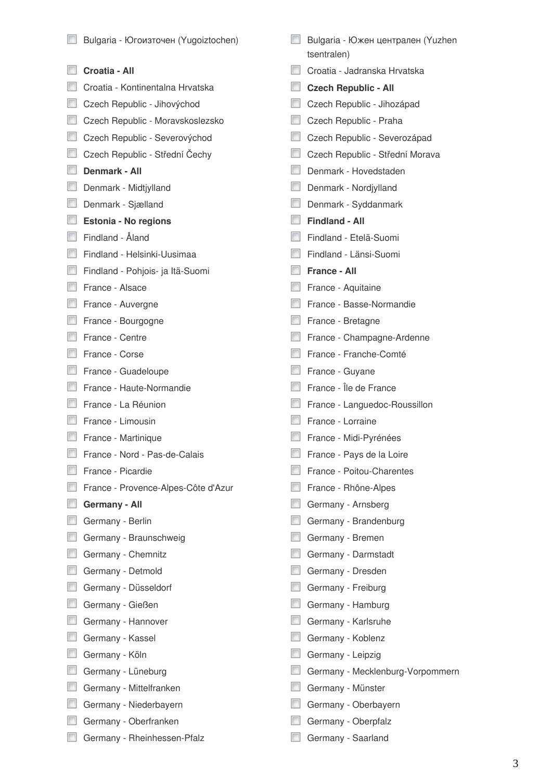| Bulgaria - Югоизточен (Yugoiztochen) | Bulgaria - Южен централен (Yuzhen<br>tsentralen) |
|--------------------------------------|--------------------------------------------------|
| Croatia - All                        | Croatia - Jadranska Hrvatska                     |
| Croatia - Kontinentalna Hrvatska     | <b>Czech Republic - All</b>                      |
| Czech Republic - Jihovýchod          | Czech Republic - Jihozápad                       |
| Czech Republic - Moravskoslezsko     | Czech Republic - Praha                           |
| Czech Republic - Severovýchod        | Czech Republic - Severozápad                     |
| Czech Republic - Střední Čechy       | Czech Republic - Střední Morava                  |
| Denmark - All                        | Denmark - Hovedstaden                            |
| Denmark - Midtjylland                | Denmark - Nordjylland                            |
| Denmark - Sjælland                   | Denmark - Syddanmark                             |
| Estonia - No regions                 | <b>Findland - All</b>                            |
| Findland - Åland                     | Findland - Etelä-Suomi                           |
| Findland - Helsinki-Uusimaa          | Findland - Länsi-Suomi                           |
| Findland - Pohjois- ja Itä-Suomi     | <b>France - All</b>                              |
| France - Alsace                      | France - Aquitaine                               |
| France - Auvergne                    | France - Basse-Normandie                         |
| France - Bourgogne                   | France - Bretagne                                |
| France - Centre                      | France - Champagne-Ardenne                       |
| France - Corse                       | France - Franche-Comté                           |
| France - Guadeloupe                  | France - Guyane                                  |
| France - Haute-Normandie             | France - Île de France                           |
| France - La Réunion                  | France - Languedoc-Roussillon                    |
| France - Limousin                    | France - Lorraine                                |
| France - Martinique                  | France - Midi-Pyrénées                           |
| France - Nord - Pas-de-Calais        | France - Pays de la Loire                        |
| France - Picardie                    | France - Poitou-Charentes                        |
| France - Provence-Alpes-Côte d'Azur  | France - Rhône-Alpes                             |
| Germany - All                        | Germany - Arnsberg                               |
| Germany - Berlin                     | Germany - Brandenburg                            |
| Germany - Braunschweig               | Germany - Bremen                                 |
| Germany - Chemnitz                   | Germany - Darmstadt                              |
| Germany - Detmold                    | Germany - Dresden                                |
| Germany - Düsseldorf                 | Germany - Freiburg                               |
| Germany - Gießen                     | Germany - Hamburg                                |
| Germany - Hannover                   | Germany - Karlsruhe                              |
| Germany - Kassel                     | Germany - Koblenz                                |
| Germany - Köln                       | Germany - Leipzig                                |
| Germany - Lüneburg                   | Germany - Mecklenburg-Vorpommern                 |
| Germany - Mittelfranken              | Germany - Münster                                |
| Germany - Niederbayern               | Germany - Oberbayern                             |
| Germany - Oberfranken                | Germany - Oberpfalz                              |
| Germany - Rheinhessen-Pfalz          | Germany - Saarland                               |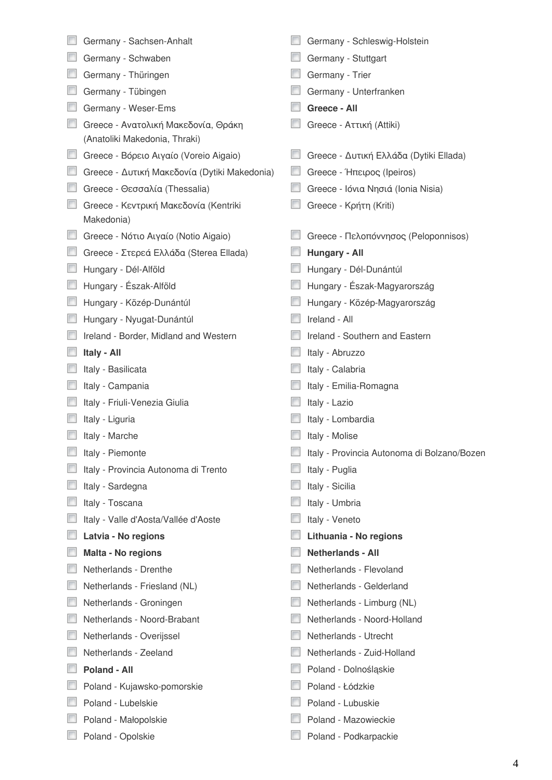| Germany - Sachsen-Anhalt                                             | Germany - Schleswig-Holstein                |
|----------------------------------------------------------------------|---------------------------------------------|
| Germany - Schwaben                                                   | Germany - Stuttgart                         |
| Germany - Thüringen                                                  | Germany - Trier                             |
| Germany - Tübingen                                                   | Germany - Unterfranken                      |
| Germany - Weser-Ems                                                  | Greece - All                                |
| Greece - Ανατολική Μακεδονία, Θράκη<br>(Anatoliki Makedonia, Thraki) | Greece - Αττική (Attiki)                    |
| Greece - Βόρειο Αιγαίο (Voreio Aigaio)                               | Greece - Δυτική Ελλάδα (Dytiki Ellada)      |
| Greece - Δυτική Μακεδονία (Dytiki Makedonia)                         | Greece - Ήπειρος (Ipeiros)                  |
| Greece - Θεσσαλία (Thessalia)                                        | Greece - Ιόνια Νησιά (Ionia Nisia)          |
| Greece - Κεντρική Μακεδονία (Kentriki<br>Makedonia)                  | Greece - Κρήτη (Kriti)                      |
| Greece - Νότιο Αιγαίο (Notio Aigaio)                                 | Greece - Πελοπόννησος (Peloponnisos)        |
| Greece - Στερεά Ελλάδα (Sterea Ellada)                               | Hungary - All                               |
| Hungary - Dél-Alföld                                                 | Hungary - Dél-Dunántúl                      |
| Hungary - Észak-Alföld                                               | Hungary - Észak-Magyarország                |
| Hungary - Közép-Dunántúl                                             | Hungary - Közép-Magyarország                |
| Hungary - Nyugat-Dunántúl                                            | Ireland - All                               |
| Ireland - Border, Midland and Western                                | Ireland - Southern and Eastern              |
| Italy - All                                                          | Italy - Abruzzo                             |
| Italy - Basilicata                                                   | Italy - Calabria                            |
| Italy - Campania                                                     | Italy - Emilia-Romagna                      |
| Italy - Friuli-Venezia Giulia                                        | Italy - Lazio                               |
| Italy - Liguria                                                      | Italy - Lombardia                           |
| Italy - Marche                                                       | Italy - Molise                              |
| Italy - Piemonte                                                     | Italy - Provincia Autonoma di Bolzano/Bozen |
| Italy - Provincia Autonoma di Trento                                 | Italy - Puglia                              |
| Italy - Sardegna                                                     | Italy - Sicilia                             |
| Italy - Toscana                                                      | Italy - Umbria                              |
| Italy - Valle d'Aosta/Vallée d'Aoste                                 | Italy - Veneto                              |
| Latvia - No regions                                                  | Lithuania - No regions                      |
| Malta - No regions                                                   | <b>Netherlands - All</b>                    |
| Netherlands - Drenthe                                                | Netherlands - Flevoland                     |
| Netherlands - Friesland (NL)                                         | Netherlands - Gelderland                    |
| Netherlands - Groningen                                              | Netherlands - Limburg (NL)                  |
| Netherlands - Noord-Brabant                                          | Netherlands - Noord-Holland                 |
| Netherlands - Overijssel                                             | Netherlands - Utrecht                       |
| Netherlands - Zeeland                                                | Netherlands - Zuid-Holland                  |
| <b>Poland - All</b>                                                  | Poland - Dolnośląskie                       |
| Poland - Kujawsko-pomorskie                                          | Poland - Łódzkie                            |
| Poland - Lubelskie                                                   | Poland - Lubuskie                           |
| Poland - Małopolskie                                                 | Poland - Mazowieckie                        |
| Poland - Opolskie                                                    | Poland - Podkarpackie                       |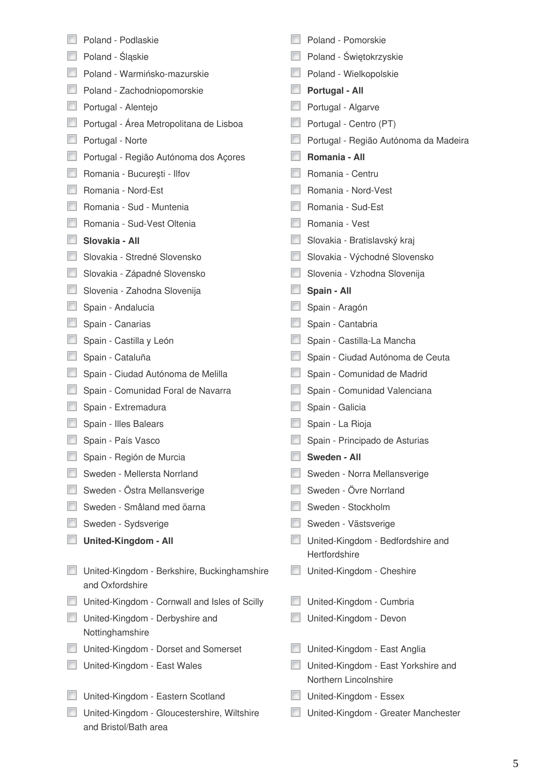| Poland - Podlaskie                                                   | Poland - Pomorskie                                           |
|----------------------------------------------------------------------|--------------------------------------------------------------|
| Poland - Śląskie                                                     | Poland - Świętokrzyskie                                      |
| Poland - Warmińsko-mazurskie                                         | Poland - Wielkopolskie                                       |
| Poland - Zachodniopomorskie                                          | Portugal - All                                               |
| Portugal - Alentejo                                                  | Portugal - Algarve                                           |
| Portugal - Área Metropolitana de Lisboa                              | Portugal - Centro (PT)                                       |
| Portugal - Norte                                                     | Portugal - Região Autónoma da Madeira                        |
| Portugal - Região Autónoma dos Açores                                | Romania - All                                                |
| Romania - București - Ilfov                                          | Romania - Centru                                             |
| Romania - Nord-Est                                                   | Romania - Nord-Vest                                          |
| Romania - Sud - Muntenia                                             | Romania - Sud-Est                                            |
| Romania - Sud-Vest Oltenia                                           | Romania - Vest                                               |
| Slovakia - All                                                       | Slovakia - Bratislavský kraj                                 |
| Slovakia - Stredné Slovensko                                         | Slovakia - Východné Slovensko                                |
| Slovakia - Západné Slovensko                                         | Slovenia - Vzhodna Slovenija                                 |
| Slovenia - Zahodna Slovenija                                         | Spain - All                                                  |
| Spain - Andalucía                                                    | Spain - Aragón                                               |
| Spain - Canarias                                                     | Spain - Cantabria                                            |
| Spain - Castilla y León                                              | Spain - Castilla-La Mancha                                   |
| Spain - Cataluña                                                     | Spain - Ciudad Autónoma de Ceuta                             |
| Spain - Ciudad Autónoma de Melilla                                   | Spain - Comunidad de Madrid                                  |
| Spain - Comunidad Foral de Navarra                                   | Spain - Comunidad Valenciana                                 |
| Spain - Extremadura                                                  | Spain - Galicia                                              |
| Spain - Illes Balears                                                | Spain - La Rioja                                             |
| Spain - País Vasco                                                   | Spain - Principado de Asturias                               |
| Spain - Región de Murcia                                             | Sweden - All                                                 |
| Sweden - Mellersta Norrland                                          | Sweden - Norra Mellansverige                                 |
| Sweden - Östra Mellansverige                                         | Sweden - Övre Norrland                                       |
| Sweden - Småland med öarna                                           | Sweden - Stockholm                                           |
| Sweden - Sydsverige                                                  | Sweden - Västsverige                                         |
| <b>United-Kingdom - All</b>                                          | United-Kingdom - Bedfordshire and<br>Hertfordshire           |
| United-Kingdom - Berkshire, Buckinghamshire<br>and Oxfordshire       | United-Kingdom - Cheshire                                    |
| United-Kingdom - Cornwall and Isles of Scilly                        | United-Kingdom - Cumbria                                     |
| United-Kingdom - Derbyshire and<br>Nottinghamshire                   | United-Kingdom - Devon                                       |
| United-Kingdom - Dorset and Somerset                                 | United-Kingdom - East Anglia                                 |
| United-Kingdom - East Wales                                          | United-Kingdom - East Yorkshire and<br>Northern Lincolnshire |
| United-Kingdom - Eastern Scotland                                    | United-Kingdom - Essex                                       |
| United-Kingdom - Gloucestershire, Wiltshire<br>and Bristol/Bath area | United-Kingdom - Greater Manchester                          |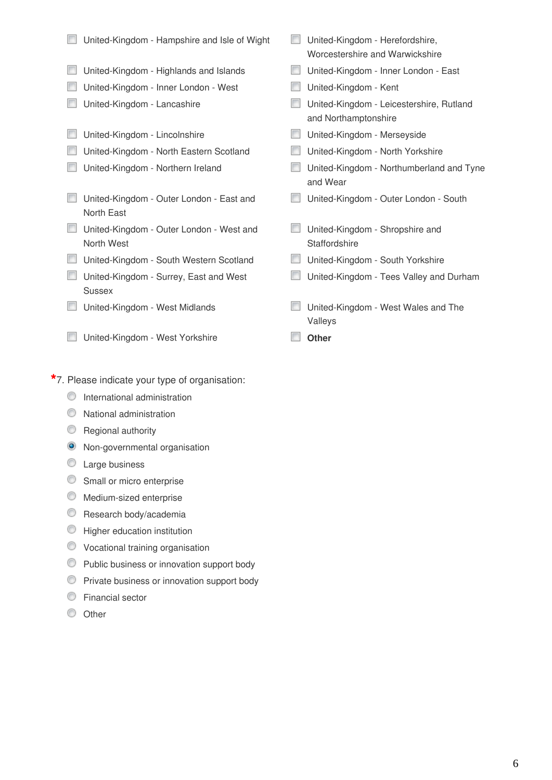- United-Kingdom Hampshire and Isle of Wight United-Kingdom Herefordshire,
- United-Kingdom Highlands and Islands United-Kingdom Inner London East
- United-Kingdom Inner London West United-Kingdom Kent
- 
- United-Kingdom Lincolnshire **United-Kingdom Merseyside**
- United-Kingdom North Eastern Scotland United-Kingdom North Yorkshire
- 
- United-Kingdom Outer London East and North East
- United-Kingdom Outer London West and North West
- United-Kingdom South Western Scotland United-Kingdom South Yorkshire
- **United-Kingdom Surrey, East and West** Sussex
- 
- **United-Kingdom West Yorkshire Constanting Other**
- **\***7. Please indicate your type of organisation:
	- **O** International administration
	- $\bullet$  National administration
	- **C** Regional authority
	- <sup>O</sup> Non-governmental organisation
	- C Large business
	- Small or micro enterprise
	- **Medium-sized enterprise**
	- **C** Research body/academia
	- **C** Higher education institution
	- Vocational training organisation
	- Public business or innovation support body
	- **Private business or innovation support body**
	- Financial sector
	- C Other
- Worcestershire and Warwickshire
- 
- 
- United-Kingdom Lancashire United-Kingdom Leicestershire, Rutland and Northamptonshire
	-
	-
- United-Kingdom Northern Ireland United-Kingdom Northumberland and Tyne and Wear
	- United-Kingdom Outer London South
	- **United-Kingdom Shropshire and Staffordshire**
	-
	- **United-Kingdom Tees Valley and Durham**
- United-Kingdom West Midlands United-Kingdom West Wales and The Valleys
	-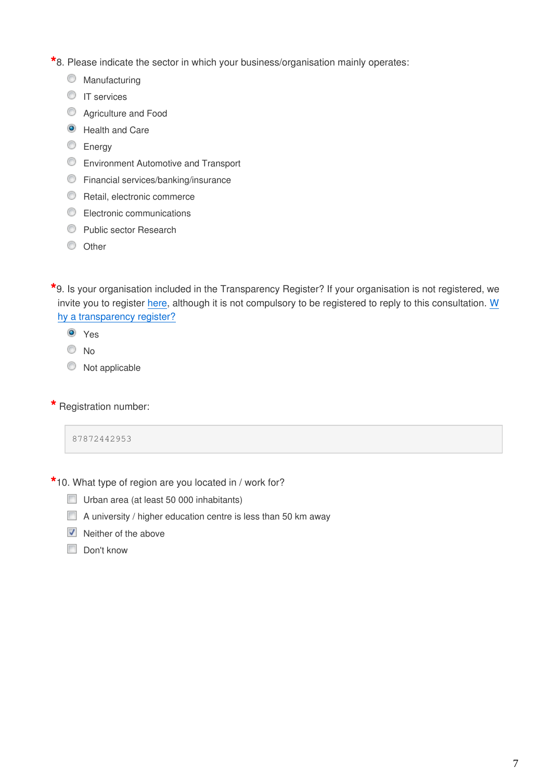**\***8. Please indicate the sector in which your business/organisation mainly operates:

- **Manufacturing**
- **IT** services
- **C** Agriculture and Food
- **O** Health and Care
- C Energy
- **Environment Automotive and Transport**
- **C** Financial services/banking/insurance
- **C** Retail, electronic commerce
- **Electronic communications**
- **C** Public sector Research
- $\circ$  Other

**\***9. Is your organisation included in the Transparency Register? If your organisation is not registered, we invite you to register [here](https://ec.europa.eu/transparencyregister/public/ri/registering.do?locale=en), although it is not compulsory to be registered to reply to this consultation. [W](http://ec.europa.eu/transparencyregister/public/homePage.do) [hy a transparency register?](http://ec.europa.eu/transparencyregister/public/homePage.do)

- **O** Yes
- No
- $\circledcirc$  Not applicable
- **\*** Registration number:

87872442953

- **\***10. What type of region are you located in / work for?
	- Urban area (at least 50 000 inhabitants)
	- A university / higher education centre is less than 50 km away
	- $\triangledown$  Neither of the above
	- Don't know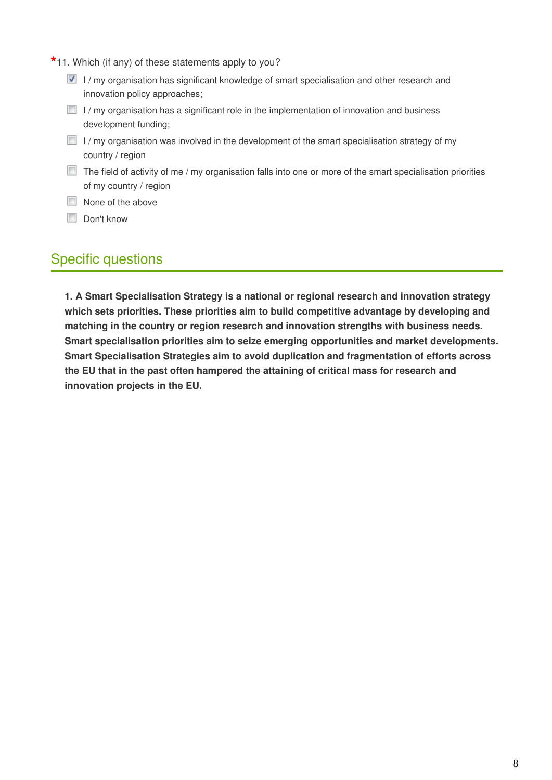- **\***11. Which (if any) of these statements apply to you?
	- $\blacksquare$  I / my organisation has significant knowledge of smart specialisation and other research and innovation policy approaches;
	- $\Box$  I/ my organisation has a significant role in the implementation of innovation and business development funding;
	- $\Box$  I/ my organisation was involved in the development of the smart specialisation strategy of my country / region
	- $\Box$  The field of activity of me / my organisation falls into one or more of the smart specialisation priorities of my country / region
	- None of the above
	- Don't know

# Specific questions

**1. A Smart Specialisation Strategy is a national or regional research and innovation strategy which sets priorities. These priorities aim to build competitive advantage by developing and matching in the country or region research and innovation strengths with business needs. Smart specialisation priorities aim to seize emerging opportunities and market developments. Smart Specialisation Strategies aim to avoid duplication and fragmentation of efforts across the EU that in the past often hampered the attaining of critical mass for research and innovation projects in the EU.**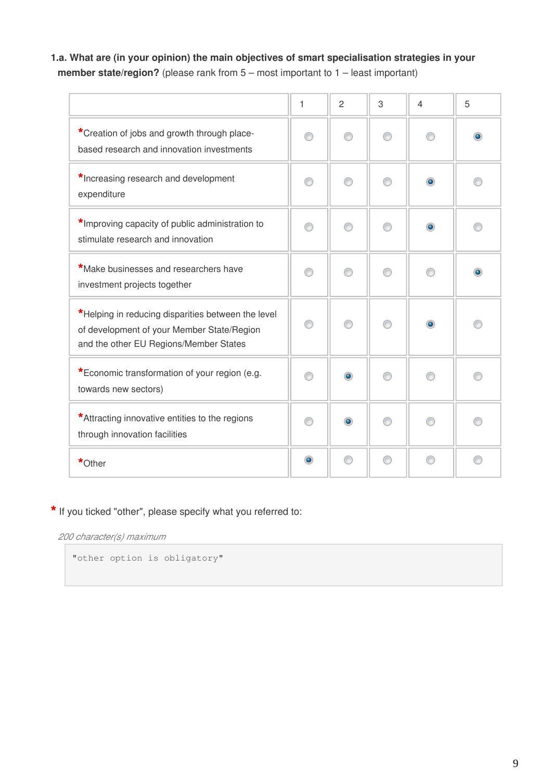# **1.a. What are (in your opinion) the main objectives of smart specialisation strategies in your member state/region?** (please rank from 5 – most important to 1 – least important)

|                                                                                                                                            | 1         | $\overline{2}$ | 3 | $\overline{4}$ | 5 |
|--------------------------------------------------------------------------------------------------------------------------------------------|-----------|----------------|---|----------------|---|
| *Creation of jobs and growth through place-<br>based research and innovation investments                                                   |           |                |   |                |   |
| *Increasing research and development<br>expenditure                                                                                        | ⋒         | ⋒              |   | ۰              |   |
| *Improving capacity of public administration to<br>stimulate research and innovation                                                       |           |                |   | $\bullet$      |   |
| *Make businesses and researchers have<br>investment projects together                                                                      | ⋒         | ⋒              |   |                |   |
| *Helping in reducing disparities between the level<br>of development of your Member State/Region<br>and the other EU Regions/Member States |           |                |   | $\bullet$      |   |
| *Economic transformation of your region (e.g.<br>towards new sectors)                                                                      |           | $\bullet$      |   |                |   |
| *Attracting innovative entities to the regions<br>through innovation facilities                                                            |           | ۰              |   |                |   |
| *Other                                                                                                                                     | $\bullet$ | ⋒              | ⋒ | ⋒              |   |

## **\*** If you ticked "other", please specify what you referred to:

*200 character(s) maximum*

"other option is obligatory"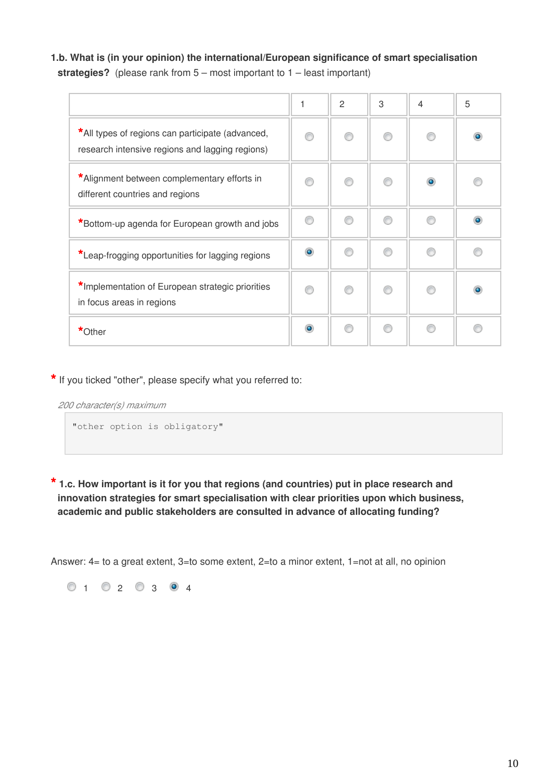**1.b. What is (in your opinion) the international/European significance of smart specialisation strategies?** (please rank from 5 – most important to 1 – least important)

|                                                                                                     | 1         | $\overline{2}$ | 3 | $\overline{4}$ | 5 |
|-----------------------------------------------------------------------------------------------------|-----------|----------------|---|----------------|---|
| *All types of regions can participate (advanced,<br>research intensive regions and lagging regions) |           |                |   |                |   |
| *Alignment between complementary efforts in<br>different countries and regions                      |           |                |   | $\bullet$      |   |
| *Bottom-up agenda for European growth and jobs                                                      |           |                |   |                |   |
| *Leap-frogging opportunities for lagging regions                                                    | $\bullet$ |                |   |                |   |
| *Implementation of European strategic priorities<br>in focus areas in regions                       | ⋒         |                |   |                |   |
| *Other                                                                                              | $\bullet$ | ⋒              |   |                |   |

**\*** If you ticked "other", please specify what you referred to:

*200 character(s) maximum*

"other option is obligatory"

**\* 1.c. How important is it for you that regions (and countries) put in place research and innovation strategies for smart specialisation with clear priorities upon which business, academic and public stakeholders are consulted in advance of allocating funding?**

Answer: 4= to a great extent, 3=to some extent, 2=to a minor extent, 1=not at all, no opinion

 $0 1 0 2 0 3 0 4$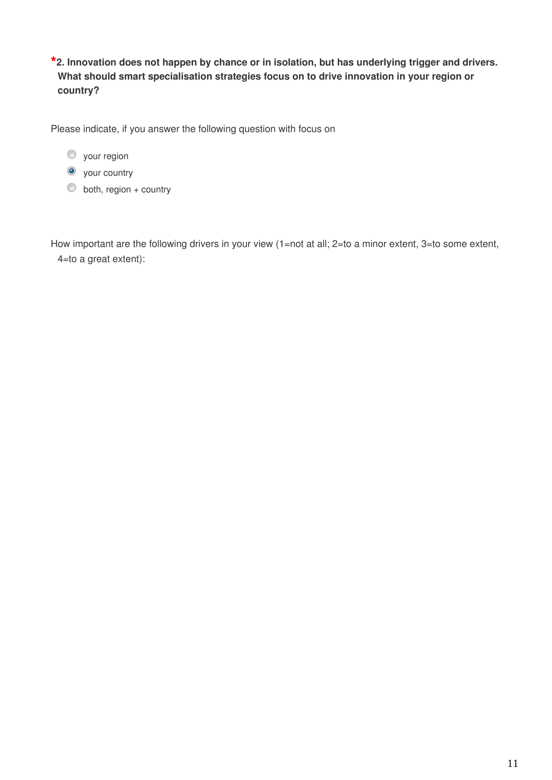**\*2. Innovation does not happen by chance or in isolation, but has underlying trigger and drivers. What should smart specialisation strategies focus on to drive innovation in your region or country?**

Please indicate, if you answer the following question with focus on

- **O** your region
- **O** your country
- $\bullet$  both, region + country

How important are the following drivers in your view (1=not at all; 2=to a minor extent, 3=to some extent, 4=to a great extent):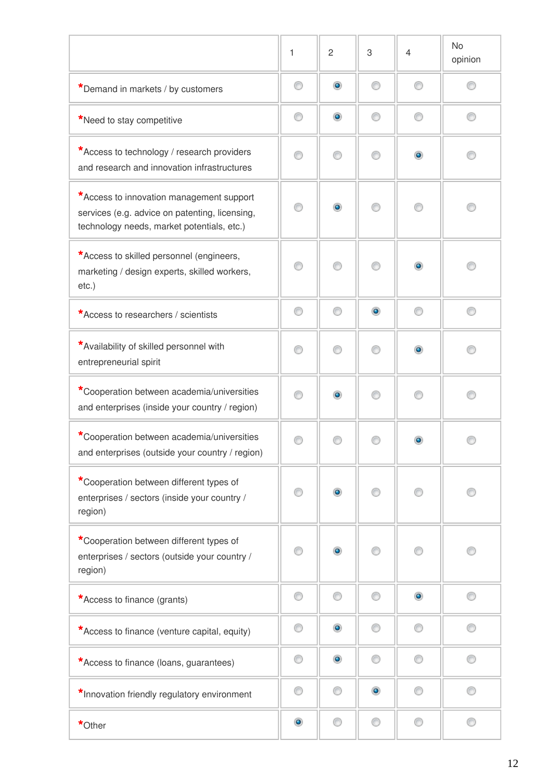|                                                                                                                                          | 1         | $\overline{c}$ | 3         | $\overline{4}$ | <b>No</b><br>opinion |
|------------------------------------------------------------------------------------------------------------------------------------------|-----------|----------------|-----------|----------------|----------------------|
| *Demand in markets / by customers                                                                                                        | ⊙         | $\circledcirc$ | ⋒         | ∩              |                      |
| *Need to stay competitive                                                                                                                | 0         | $\bullet$      | ∩         | ⊙              | ⊙                    |
| *Access to technology / research providers<br>and research and innovation infrastructures                                                | ⊙         | ⊙              | ⋒         | $\circledcirc$ |                      |
| *Access to innovation management support<br>services (e.g. advice on patenting, licensing,<br>technology needs, market potentials, etc.) | ∩         | $\bullet$      |           | ⋒              |                      |
| *Access to skilled personnel (engineers,<br>marketing / design experts, skilled workers,<br>$etc.$ )                                     | ⊙         | ∩              |           | ۰              |                      |
| *Access to researchers / scientists                                                                                                      | 0         | ⊙              | $\bullet$ | ⊙              | ∩                    |
| *Availability of skilled personnel with<br>entrepreneurial spirit                                                                        | ⊙         | ⊙              | ⋒         | $\circledcirc$ | ∩                    |
| *Cooperation between academia/universities<br>and enterprises (inside your country / region)                                             | ⊙         | $\circledcirc$ | ⋒         | ⊙              | ∩                    |
| *Cooperation between academia/universities<br>and enterprises (outside your country / region)                                            | ⊙         |                |           | $\bullet$      |                      |
| *Cooperation between different types of<br>enterprises / sectors (inside your country /<br>region)                                       | 0         | $\circledcirc$ |           | ⋒              |                      |
| *Cooperation between different types of<br>enterprises / sectors (outside your country /<br>region)                                      | ∩         | $\circledcirc$ |           |                |                      |
| *Access to finance (grants)                                                                                                              | ⊙         | ∩              | ⋒         | $\bullet$      |                      |
| *Access to finance (venture capital, equity)                                                                                             | 0         | $\bullet$      | ∩         | ⊙              | ∩                    |
| *Access to finance (loans, guarantees)                                                                                                   | 0         | $\bullet$      | ⊙         | ⊙              | ⊙                    |
| *Innovation friendly regulatory environment                                                                                              | ⊙         | ∩              | $\bullet$ | ⋒              |                      |
| *Other                                                                                                                                   | $\bullet$ | 0              | ⊙         | ⊙              | ⊙                    |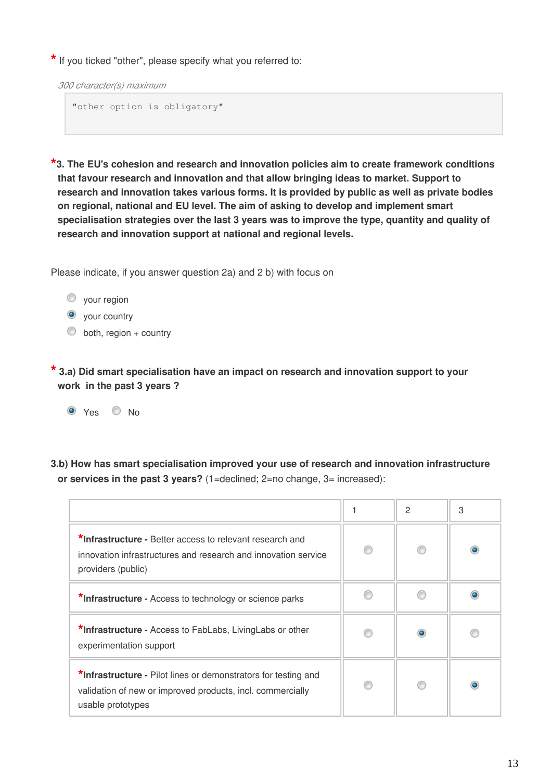**\*** If you ticked "other", please specify what you referred to:

*300 character(s) maximum*

```
"other option is obligatory"
```
**\*3. The EU's cohesion and research and innovation policies aim to create framework conditions that favour research and innovation and that allow bringing ideas to market. Support to research and innovation takes various forms. It is provided by public as well as private bodies on regional, national and EU level. The aim of asking to develop and implement smart specialisation strategies over the last 3 years was to improve the type, quantity and quality of research and innovation support at national and regional levels.**

Please indicate, if you answer question 2a) and 2 b) with focus on

- **vour region**
- $\bullet$  your country
- $\bullet$  both, region + country

**\* 3.a) Did smart specialisation have an impact on research and innovation support to your work in the past 3 years ?**

O Yes O No

**3.b) How has smart specialisation improved your use of research and innovation infrastructure or services in the past 3 years?** (1=declined; 2=no change, 3= increased):

|                                                                                                                                                   | $\overline{c}$ | 3         |
|---------------------------------------------------------------------------------------------------------------------------------------------------|----------------|-----------|
| *Infrastructure - Better access to relevant research and<br>innovation infrastructures and research and innovation service<br>providers (public)  |                | $\bullet$ |
| *Infrastructure - Access to technology or science parks                                                                                           |                |           |
| *Infrastructure - Access to FabLabs, LivingLabs or other<br>experimentation support                                                               |                |           |
| *Infrastructure - Pilot lines or demonstrators for testing and<br>validation of new or improved products, incl. commercially<br>usable prototypes |                |           |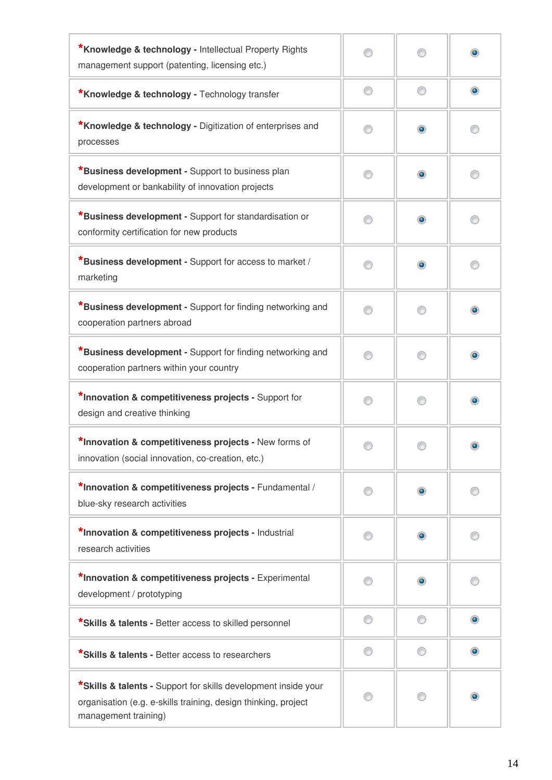| *Knowledge & technology - Intellectual Property Rights<br>management support (patenting, licensing etc.)                                                 |    |           |           |
|----------------------------------------------------------------------------------------------------------------------------------------------------------|----|-----------|-----------|
| <b>*Knowledge &amp; technology - Technology transfer</b>                                                                                                 | ⊙  | ∩         | $\bullet$ |
| *Knowledge & technology - Digitization of enterprises and<br>processes                                                                                   |    | ۰         |           |
| <b>*Business development -</b> Support to business plan<br>development or bankability of innovation projects                                             | 60 | ۰         |           |
| <b>*Business development -</b> Support for standardisation or<br>conformity certification for new products                                               | ∩  | $\bullet$ |           |
| <b>*Business development - Support for access to market /</b><br>marketing                                                                               | ∩  | ۰         |           |
| *Business development - Support for finding networking and<br>cooperation partners abroad                                                                | 67 |           | ۰         |
| <b>*Business development -</b> Support for finding networking and<br>cooperation partners within your country                                            |    |           | $\bullet$ |
| *Innovation & competitiveness projects - Support for<br>design and creative thinking                                                                     |    |           | $\bullet$ |
| *Innovation & competitiveness projects - New forms of<br>innovation (social innovation, co-creation, etc.)                                               |    |           |           |
| *Innovation & competitiveness projects - Fundamental /<br>blue-sky research activities                                                                   | 60 | $\bullet$ |           |
| *Innovation & competitiveness projects - Industrial<br>research activities                                                                               | ∩  | $\bullet$ |           |
| *Innovation & competitiveness projects - Experimental<br>development / prototyping                                                                       |    | $\bullet$ |           |
| *Skills & talents - Better access to skilled personnel                                                                                                   | ⊙  |           | $\bullet$ |
| *Skills & talents - Better access to researchers                                                                                                         |    |           | $\bullet$ |
| *Skills & talents - Support for skills development inside your<br>organisation (e.g. e-skills training, design thinking, project<br>management training) |    |           |           |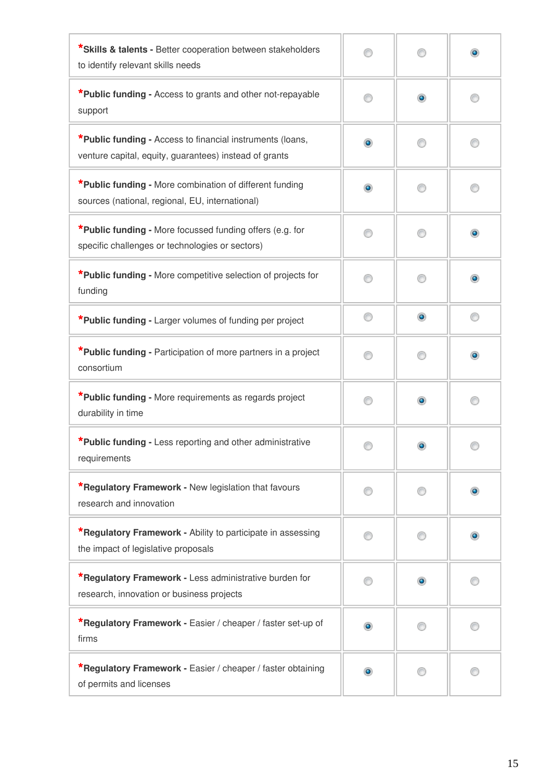| *Skills & talents - Better cooperation between stakeholders<br>to identify relevant skills needs                    |           |           | $\bullet$ |
|---------------------------------------------------------------------------------------------------------------------|-----------|-----------|-----------|
| *Public funding - Access to grants and other not-repayable<br>support                                               | 0         | $\bullet$ | C         |
| *Public funding - Access to financial instruments (loans,<br>venture capital, equity, guarantees) instead of grants | $\bullet$ |           |           |
| *Public funding - More combination of different funding<br>sources (national, regional, EU, international)          | $\bullet$ |           |           |
| *Public funding - More focussed funding offers (e.g. for<br>specific challenges or technologies or sectors)         |           |           | $\bullet$ |
| *Public funding - More competitive selection of projects for<br>funding                                             |           |           |           |
| *Public funding - Larger volumes of funding per project                                                             | ∩         | $\bullet$ | ⋒         |
| *Public funding - Participation of more partners in a project<br>consortium                                         |           |           | ۰         |
| *Public funding - More requirements as regards project<br>durability in time                                        |           | $\bullet$ |           |
| *Public funding - Less reporting and other administrative<br>requirements                                           |           |           |           |
| <b>*Regulatory Framework - New legislation that favours</b><br>research and innovation                              |           |           |           |
| <b>*Regulatory Framework - Ability to participate in assessing</b><br>the impact of legislative proposals           |           |           | $\bullet$ |
| *Regulatory Framework - Less administrative burden for<br>research, innovation or business projects                 |           |           |           |
| *Regulatory Framework - Easier / cheaper / faster set-up of<br>firms                                                | $\bullet$ |           |           |
| *Regulatory Framework - Easier / cheaper / faster obtaining<br>of permits and licenses                              | $\bullet$ |           |           |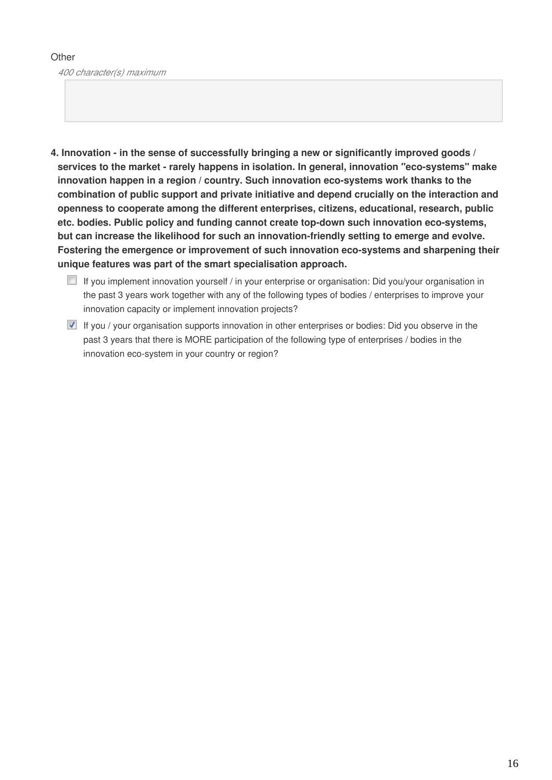#### **Other**

*400 character(s) maximum*

- **4. Innovation in the sense of successfully bringing a new or significantly improved goods / services to the market - rarely happens in isolation. In general, innovation "eco-systems" make innovation happen in a region / country. Such innovation eco-systems work thanks to the combination of public support and private initiative and depend crucially on the interaction and openness to cooperate among the different enterprises, citizens, educational, research, public etc. bodies. Public policy and funding cannot create top-down such innovation eco-systems, but can increase the likelihood for such an innovation-friendly setting to emerge and evolve. Fostering the emergence or improvement of such innovation eco-systems and sharpening their unique features was part of the smart specialisation approach.**
	- If you implement innovation yourself / in your enterprise or organisation: Did you/your organisation in the past 3 years work together with any of the following types of bodies / enterprises to improve your innovation capacity or implement innovation projects?
	- If you / your organisation supports innovation in other enterprises or bodies: Did you observe in the past 3 years that there is MORE participation of the following type of enterprises / bodies in the innovation eco-system in your country or region?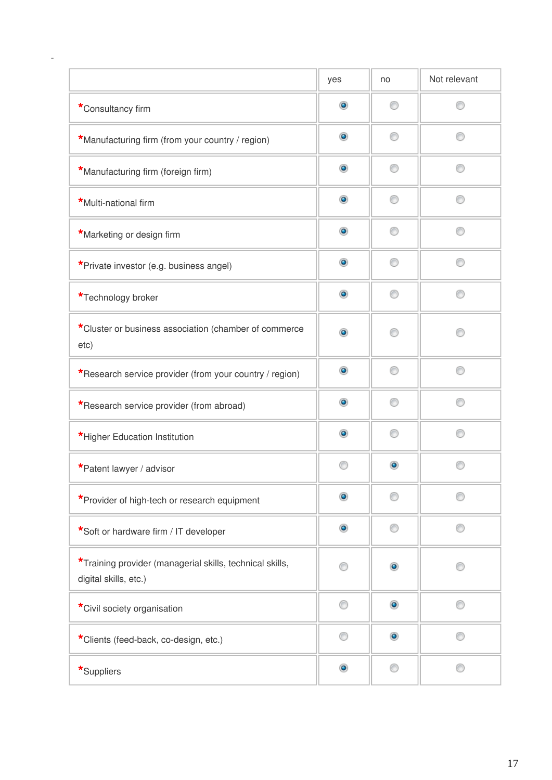|                                                                                   | yes            | no             | Not relevant |
|-----------------------------------------------------------------------------------|----------------|----------------|--------------|
| *Consultancy firm                                                                 | $\bullet$      | ⊙              |              |
| *Manufacturing firm (from your country / region)                                  | $\bullet$      | ∩              |              |
| *Manufacturing firm (foreign firm)                                                | $\bullet$      | ∩              |              |
| *Multi-national firm                                                              | $\bullet$      | ∩              |              |
| *Marketing or design firm                                                         | $\circledcirc$ | ∩              |              |
| *Private investor (e.g. business angel)                                           | $\bullet$      | ⊙              |              |
| *Technology broker                                                                | $\bullet$      | ∩              |              |
| *Cluster or business association (chamber of commerce<br>etc)                     | $\bullet$      |                |              |
| *Research service provider (from your country / region)                           | $\circledcirc$ | ⊙              | ∩            |
| *Research service provider (from abroad)                                          | $\bullet$      | ∩              |              |
| *Higher Education Institution                                                     | $\bullet$      | ⊙              |              |
| *Patent lawyer / advisor                                                          | ∩              | ۰              |              |
| *Provider of high-tech or research equipment                                      | $\bullet$      |                |              |
| *Soft or hardware firm / IT developer                                             | $\bullet$      | ⊙              |              |
| *Training provider (managerial skills, technical skills,<br>digital skills, etc.) | ∩              | ۰              |              |
| *Civil society organisation                                                       | ⊙              | $\bullet$      |              |
| *Clients (feed-back, co-design, etc.)                                             | ⊙              | $\circledcirc$ |              |
| *Suppliers                                                                        | $\bullet$      | ⊙              | ∩            |

-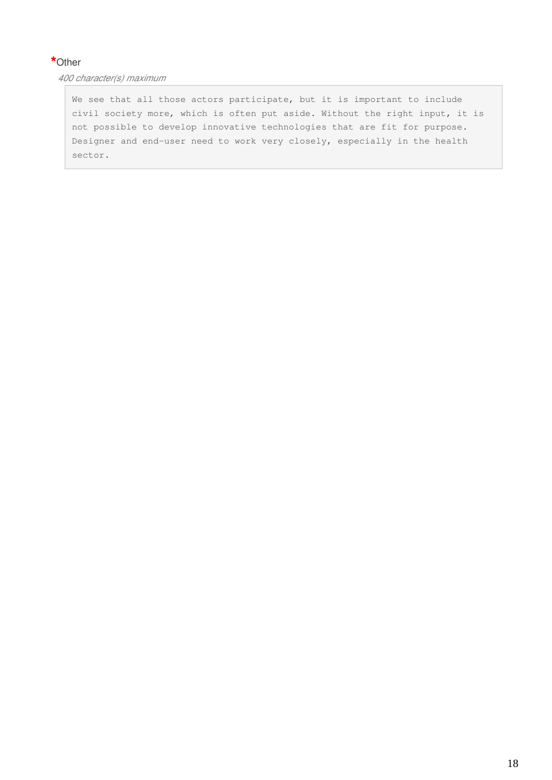# **\***Other

*400 character(s) maximum*

We see that all those actors participate, but it is important to include civil society more, which is often put aside. Without the right input, it is not possible to develop innovative technologies that are fit for purpose. Designer and end-user need to work very closely, especially in the health sector.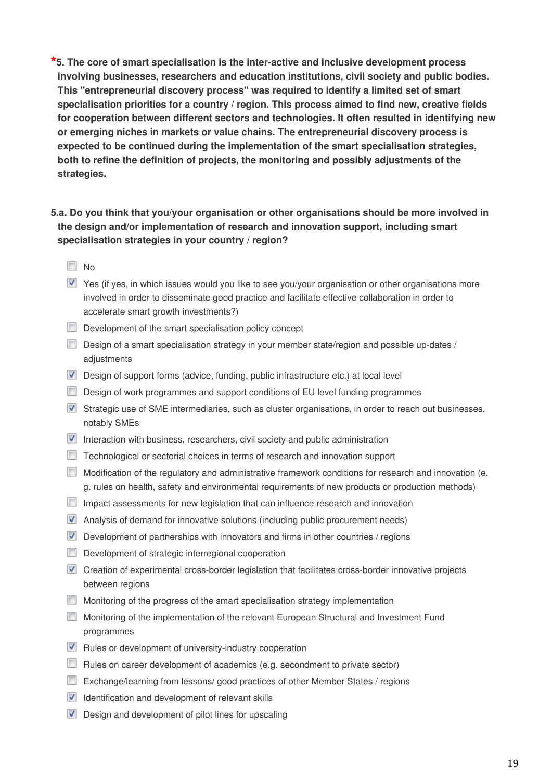**\*5. The core of smart specialisation is the inter-active and inclusive development process involving businesses, researchers and education institutions, civil society and public bodies. This "entrepreneurial discovery process" was required to identify a limited set of smart specialisation priorities for a country / region. This process aimed to find new, creative fields for cooperation between different sectors and technologies. It often resulted in identifying new or emerging niches in markets or value chains. The entrepreneurial discovery process is expected to be continued during the implementation of the smart specialisation strategies, both to refine the definition of projects, the monitoring and possibly adjustments of the strategies.**

**5.a. Do you think that you/your organisation or other organisations should be more involved in the design and/or implementation of research and innovation support, including smart specialisation strategies in your country / region?**

- $\Box$  No
- Yes (if yes, in which issues would you like to see you/your organisation or other organisations more involved in order to disseminate good practice and facilitate effective collaboration in order to accelerate smart growth investments?)
- $\Box$  Development of the smart specialisation policy concept
- Design of a smart specialisation strategy in your member state/region and possible up-dates / adjustments
- Design of support forms (advice, funding, public infrastructure etc.) at local level
- Design of work programmes and support conditions of EU level funding programmes
- Strategic use of SME intermediaries, such as cluster organisations, in order to reach out businesses, notably SMEs
- Interaction with business, researchers, civil society and public administration
- Technological or sectorial choices in terms of research and innovation support
- Modification of the regulatory and administrative framework conditions for research and innovation (e. g. rules on health, safety and environmental requirements of new products or production methods)
- Impact assessments for new legislation that can influence research and innovation
- Analysis of demand for innovative solutions (including public procurement needs)
- Development of partnerships with innovators and firms in other countries / regions
- Development of strategic interregional cooperation
- **T** Creation of experimental cross-border legislation that facilitates cross-border innovative projects between regions
- **Monitoring of the progress of the smart specialisation strategy implementation**
- Monitoring of the implementation of the relevant European Structural and Investment Fund programmes
- $\blacksquare$  Rules or development of university-industry cooperation
- Rules on career development of academics (e.g. secondment to private sector)
- Exchange/learning from lessons/ good practices of other Member States / regions
- $\blacksquare$  Identification and development of relevant skills
- Design and development of pilot lines for upscaling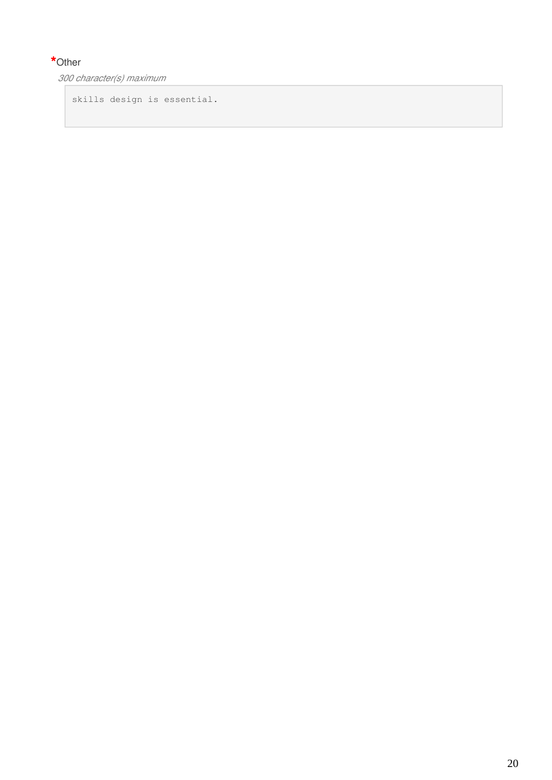# **\***Other

*300 character(s) maximum*

skills design is essential.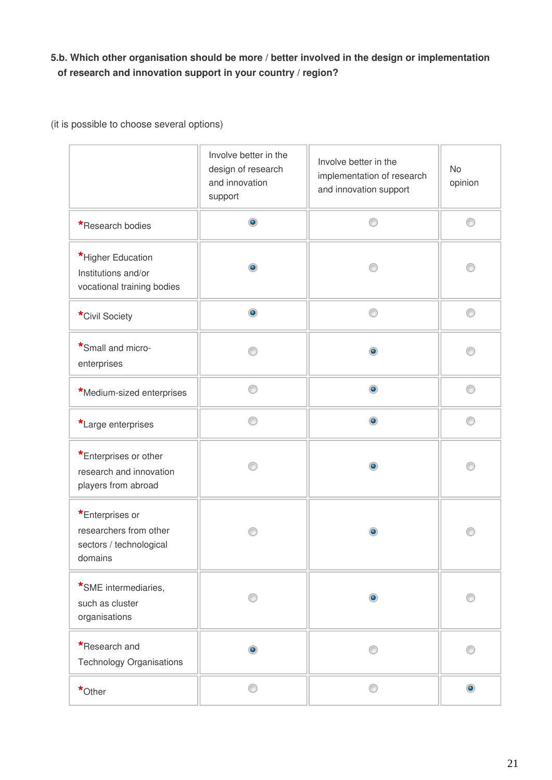# **5.b. Which other organisation should be more / better involved in the design or implementation of research and innovation support in your country / region?**

(it is possible to choose several options)

|                                                                                 | Involve better in the<br>design of research<br>and innovation<br>support | Involve better in the<br>implementation of research<br>and innovation support | <b>No</b><br>opinion |
|---------------------------------------------------------------------------------|--------------------------------------------------------------------------|-------------------------------------------------------------------------------|----------------------|
| *Research bodies                                                                | ۰                                                                        |                                                                               | ⊙                    |
| *Higher Education<br>Institutions and/or<br>vocational training bodies          | ۰                                                                        |                                                                               |                      |
| *Civil Society                                                                  | $\bullet$                                                                | ⊙                                                                             | ⊙                    |
| *Small and micro-<br>enterprises                                                |                                                                          | $\bullet$                                                                     |                      |
| *Medium-sized enterprises                                                       |                                                                          | $\bullet$                                                                     |                      |
| *Large enterprises                                                              | ∩                                                                        | $\bullet$                                                                     | ∩                    |
| *Enterprises or other<br>research and innovation<br>players from abroad         |                                                                          | ۰                                                                             |                      |
| *Enterprises or<br>researchers from other<br>sectors / technological<br>domains |                                                                          | $\bullet$                                                                     | ∩                    |
| *SME intermediaries,<br>such as cluster<br>organisations                        |                                                                          | $\bullet$                                                                     |                      |
| *Research and<br><b>Technology Organisations</b>                                | $\circledcirc$                                                           |                                                                               |                      |
| *Other                                                                          | ⋒                                                                        | ⋒                                                                             | $\bullet$            |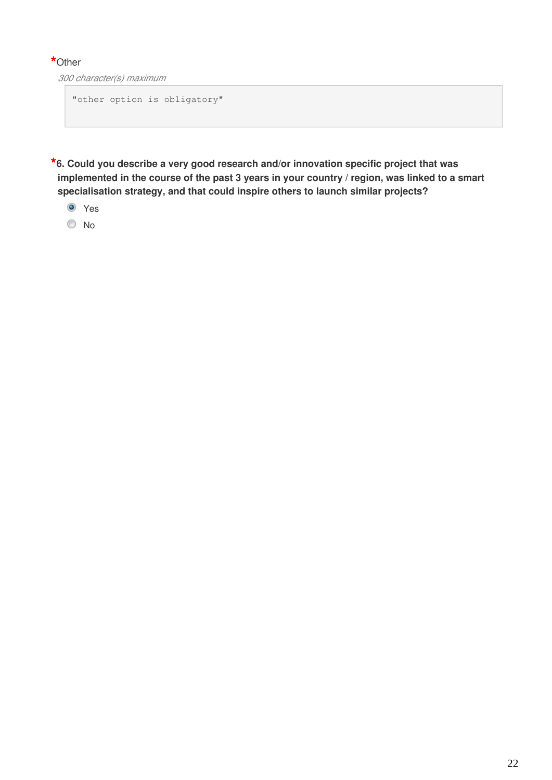## **\***Other

*300 character(s) maximum*

"other option is obligatory"

**\*6. Could you describe a very good research and/or innovation specific project that was implemented in the course of the past 3 years in your country / region, was linked to a smart specialisation strategy, and that could inspire others to launch similar projects?**

- **O** Yes
- No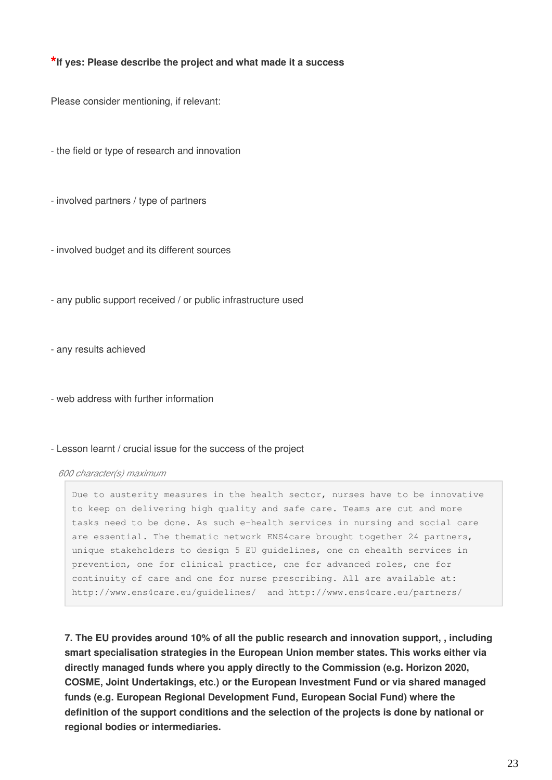#### **\*If yes: Please describe the project and what made it a success**

Please consider mentioning, if relevant:

- the field or type of research and innovation

- involved partners / type of partners

- involved budget and its different sources

- any public support received / or public infrastructure used

- any results achieved

- web address with further information

#### - Lesson learnt / crucial issue for the success of the project

#### *600 character(s) maximum*

Due to austerity measures in the health sector, nurses have to be innovative to keep on delivering high quality and safe care. Teams are cut and more tasks need to be done. As such e-health services in nursing and social care are essential. The thematic network ENS4care brought together 24 partners, unique stakeholders to design 5 EU guidelines, one on ehealth services in prevention, one for clinical practice, one for advanced roles, one for continuity of care and one for nurse prescribing. All are available at: http://www.ens4care.eu/guidelines/ and http://www.ens4care.eu/partners/

**7. The EU provides around 10% of all the public research and innovation support, , including smart specialisation strategies in the European Union member states. This works either via directly managed funds where you apply directly to the Commission (e.g. Horizon 2020, COSME, Joint Undertakings, etc.) or the European Investment Fund or via shared managed funds (e.g. European Regional Development Fund, European Social Fund) where the definition of the support conditions and the selection of the projects is done by national or regional bodies or intermediaries.**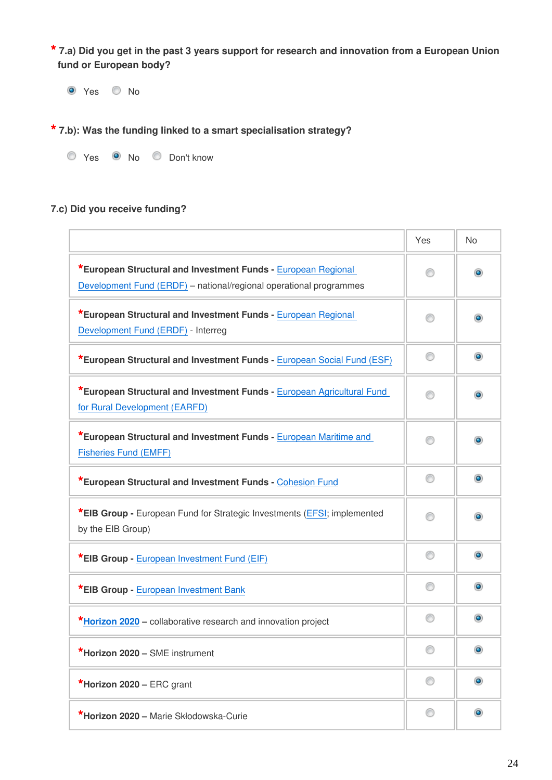**\* 7.a) Did you get in the past 3 years support for research and innovation from a European Union fund or European body?**

O Yes O No

**\* 7.b): Was the funding linked to a smart specialisation strategy?**

| Yes. | No | Don't know |
|------|----|------------|
|      |    |            |

### **7.c) Did you receive funding?**

|                                                                                                                                     | Yes | <b>No</b>      |
|-------------------------------------------------------------------------------------------------------------------------------------|-----|----------------|
| *European Structural and Investment Funds - European Regional<br>Development Fund (ERDF) - national/regional operational programmes | 0   | $\bullet$      |
| *European Structural and Investment Funds - European Regional<br>Development Fund (ERDF) - Interreg                                 | 60  | $\bullet$      |
| *European Structural and Investment Funds - European Social Fund (ESF)                                                              | ⊙   | $\circledcirc$ |
| *European Structural and Investment Funds - European Agricultural Fund<br>for Rural Development (EARFD)                             | 0   | $\bullet$      |
| *European Structural and Investment Funds - European Maritime and<br><b>Fisheries Fund (EMFF)</b>                                   | ∩   | $\bullet$      |
| *European Structural and Investment Funds - Cohesion Fund                                                                           | ⊙   | $\bullet$      |
| *EIB Group - European Fund for Strategic Investments (EFSI; implemented<br>by the EIB Group)                                        |     | $\bullet$      |
| *EIB Group - European Investment Fund (EIF)                                                                                         | ⊙   | $\bullet$      |
| <b>*EIB Group - European Investment Bank</b>                                                                                        | ⊙   | $\bullet$      |
| *Horizon 2020 – collaborative research and innovation project                                                                       |     | $\bullet$      |
| *Horizon 2020 - SME instrument                                                                                                      | ⊙   | $\bullet$      |
| *Horizon 2020 – ERC grant                                                                                                           | ⊙   | $\bullet$      |
| *Horizon 2020 - Marie Skłodowska-Curie                                                                                              | 0   | $\bullet$      |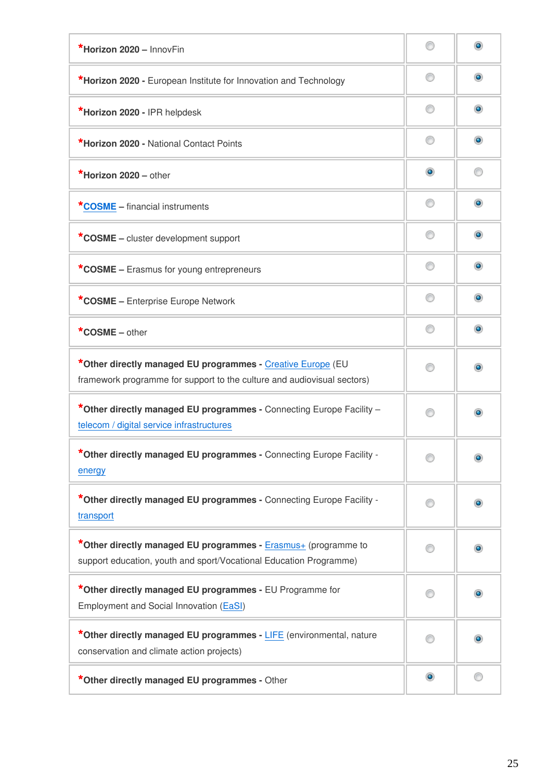| *Horizon 2020 - InnovFin                                                                                                               | ⋒              |                |
|----------------------------------------------------------------------------------------------------------------------------------------|----------------|----------------|
| *Horizon 2020 - European Institute for Innovation and Technology                                                                       | ⊙              | $\bullet$      |
| *Horizon 2020 - IPR helpdesk                                                                                                           | ∩              | $\bullet$      |
| *Horizon 2020 - National Contact Points                                                                                                | ⊙              | $\circledcirc$ |
| *Horizon $2020 -$ other                                                                                                                | $\circledcirc$ |                |
| <b>*COSME</b> – financial instruments                                                                                                  | ⊙              | $\bullet$      |
| *COSME – cluster development support                                                                                                   | ⊙              | o              |
| *COSME – Erasmus for young entrepreneurs                                                                                               | ⊙              | $\bullet$      |
| *COSME - Enterprise Europe Network                                                                                                     | ∩              | $\bullet$      |
| *COSME $-$ other                                                                                                                       | ⊙              | $\bullet$      |
| *Other directly managed EU programmes - Creative Europe (EU<br>framework programme for support to the culture and audiovisual sectors) | ⋒              |                |
| *Other directly managed EU programmes - Connecting Europe Facility -<br>telecom / digital service infrastructures                      | ∩              |                |
| Other directly managed EU programmes - Connecting Europe Facility -<br>energy                                                          |                | $\bullet$      |
| *Other directly managed EU programmes - Connecting Europe Facility -<br>transport                                                      | ∩              |                |
| *Other directly managed EU programmes - Erasmus+ (programme to<br>support education, youth and sport/Vocational Education Programme)   |                |                |
| *Other directly managed EU programmes - EU Programme for<br>Employment and Social Innovation (EaSI)                                    | ⊙              |                |
| *Other directly managed EU programmes - LIFE (environmental, nature<br>conservation and climate action projects)                       |                |                |
| *Other directly managed EU programmes - Other                                                                                          | $\bullet$      |                |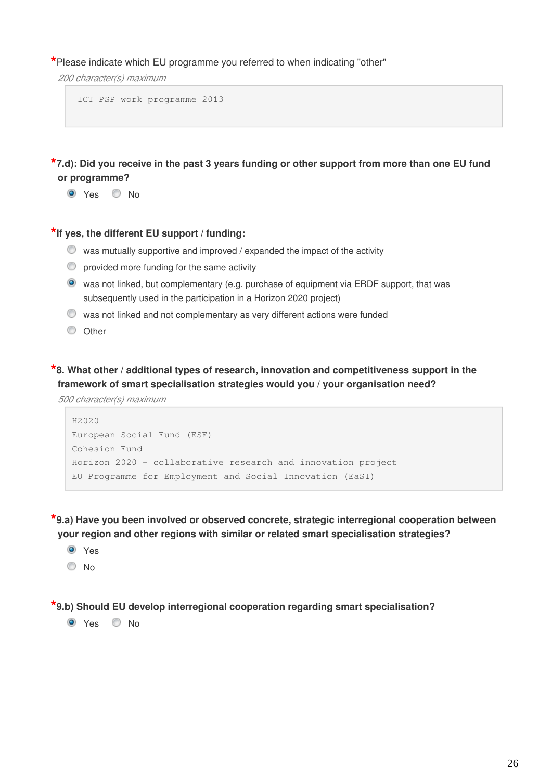**\***Please indicate which EU programme you referred to when indicating "other"

*200 character(s) maximum*

ICT PSP work programme 2013

**\*7.d): Did you receive in the past 3 years funding or other support from more than one EU fund or programme?**

O Yes O No

**\*If yes, the different EU support / funding:**

- $\bullet$  was mutually supportive and improved / expanded the impact of the activity
- $\heartsuit$  provided more funding for the same activity
- was not linked, but complementary (e.g. purchase of equipment via ERDF support, that was subsequently used in the participation in a Horizon 2020 project)
- $\bullet$  was not linked and not complementary as very different actions were funded
- O Other

**\*8. What other / additional types of research, innovation and competitiveness support in the framework of smart specialisation strategies would you / your organisation need?**

*500 character(s) maximum*

```
H2020
European Social Fund (ESF)
Cohesion Fund
Horizon 2020 – collaborative research and innovation project
EU Programme for Employment and Social Innovation (EaSI)
```
**\*9.a) Have you been involved or observed concrete, strategic interregional cooperation between your region and other regions with similar or related smart specialisation strategies?**

- **O** Yes
- $\odot$  No

**\*9.b) Should EU develop interregional cooperation regarding smart specialisation?** 

 $\bullet$  Yes  $\bullet$  No